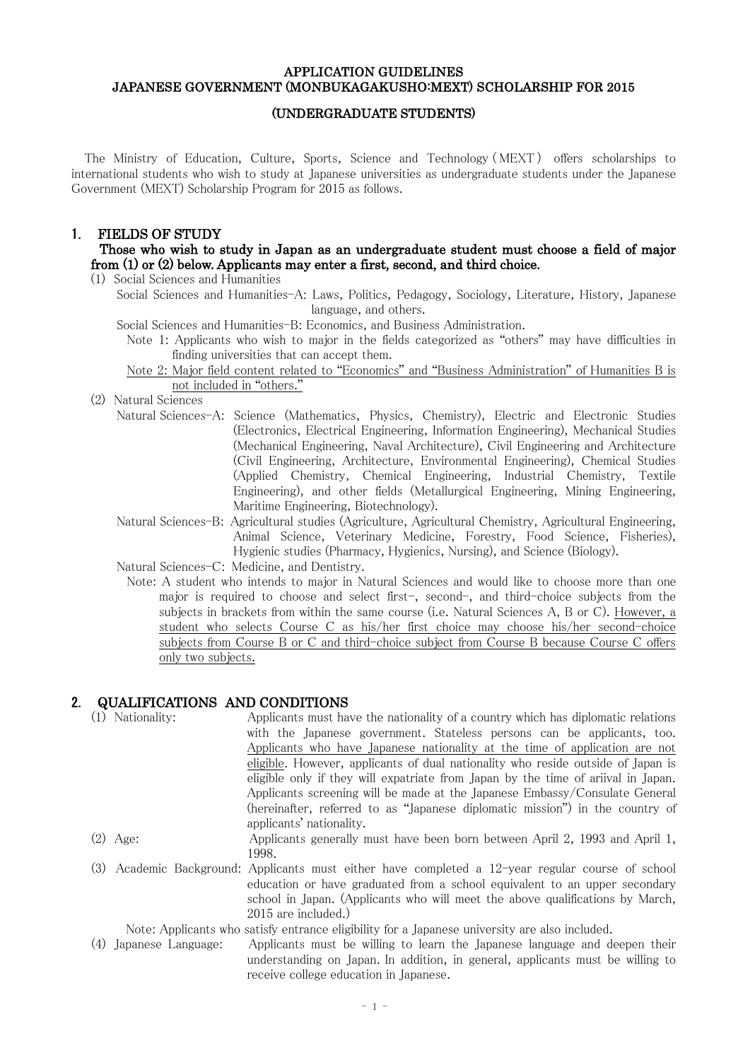### APPLICATION GUIDELINES JAPANESE GOVERNMENT (MONBUKAGAKUSHO:MEXT) SCHOLARSHIP FOR 2015

### (UNDERGRADUATE STUDENTS)

The Ministry of Education, Culture, Sports, Science and Technology ( MEXT) offers scholarships to international students who wish to study at Japanese universities as undergraduate students under the Japanese Government (MEXT) Scholarship Program for 2015 as follows.

## 1. FIELDS OF STUDY

## Those who wish to study in Japan as an undergraduate student must choose a field of major from (1) or (2) below. Applicants may enter a first, second, and third choice.

(1) Social Sciences and Humanities

Social Sciences and Humanities-A: Laws, Politics, Pedagogy, Sociology, Literature, History, Japanese language, and others.

Social Sciences and Humanities-B: Economics, and Business Administration.

Note 1: Applicants who wish to major in the fields categorized as "others" may have difficulties in finding universities that can accept them.

Note 2: Major field content related to "Economics" and "Business Administration" of Humanities B is not included in "others."

(2) Natural Sciences

- Natural Sciences-A: Science (Mathematics, Physics, Chemistry), Electric and Electronic Studies (Electronics, Electrical Engineering, Information Engineering), Mechanical Studies (Mechanical Engineering, Naval Architecture), Civil Engineering and Architecture (Civil Engineering, Architecture, Environmental Engineering), Chemical Studies (Applied Chemistry, Chemical Engineering, Industrial Chemistry, Textile Engineering), and other fields (Metallurgical Engineering, Mining Engineering, Maritime Engineering, Biotechnology).
- Natural Sciences-B: Agricultural studies (Agriculture, Agricultural Chemistry, Agricultural Engineering, Animal Science, Veterinary Medicine, Forestry, Food Science, Fisheries), Hygienic studies (Pharmacy, Hygienics, Nursing), and Science (Biology).
- Natural Sciences-C: Medicine, and Dentistry.
	- Note: A student who intends to major in Natural Sciences and would like to choose more than one major is required to choose and select first-, second-, and third-choice subjects from the subjects in brackets from within the same course (i.e. Natural Sciences A, B or C). However, a student who selects Course C as his/her first choice may choose his/her second-choice subjects from Course B or C and third-choice subject from Course B because Course C offers only two subjects.

## 2. QUALIFICATIONS AND CONDITIONS

|     | Nationality:       | Applicants must have the nationality of a country which has diplomatic relations                                                                                                                       |
|-----|--------------------|--------------------------------------------------------------------------------------------------------------------------------------------------------------------------------------------------------|
|     |                    | with the Japanese government. Stateless persons can be applicants, too.                                                                                                                                |
|     |                    | Applicants who have Japanese nationality at the time of application are not                                                                                                                            |
|     |                    | eligible. However, applicants of dual nationality who reside outside of Japan is                                                                                                                       |
|     |                    | eligible only if they will expatriate from Japan by the time of ariival in Japan.                                                                                                                      |
|     |                    | Applicants screening will be made at the Japanese Embassy/Consulate General                                                                                                                            |
|     |                    | (hereinafter, referred to as "Japanese diplomatic mission") in the country of<br>applicants' nationality.                                                                                              |
|     | $(2)$ Age:         | Applicants generally must have been born between April 2, 1993 and April 1,                                                                                                                            |
|     |                    | 1998.                                                                                                                                                                                                  |
| (3) |                    | Academic Background: Applicants must either have completed a 12-year regular course of school<br>education or have graduated from a school equivalent to an upper secondary                            |
|     |                    | school in Japan. (Applicants who will meet the above qualifications by March,                                                                                                                          |
|     |                    | 2015 are included.)                                                                                                                                                                                    |
|     |                    | Note: Applicants who satisfy entrance eligibility for a Japanese university are also included.                                                                                                         |
| (4) | Japanese Language: | Applicants must be willing to learn the Japanese language and deepen their<br>understanding on Japan. In addition, in general, applicants must be willing to<br>receive college education in Japanese. |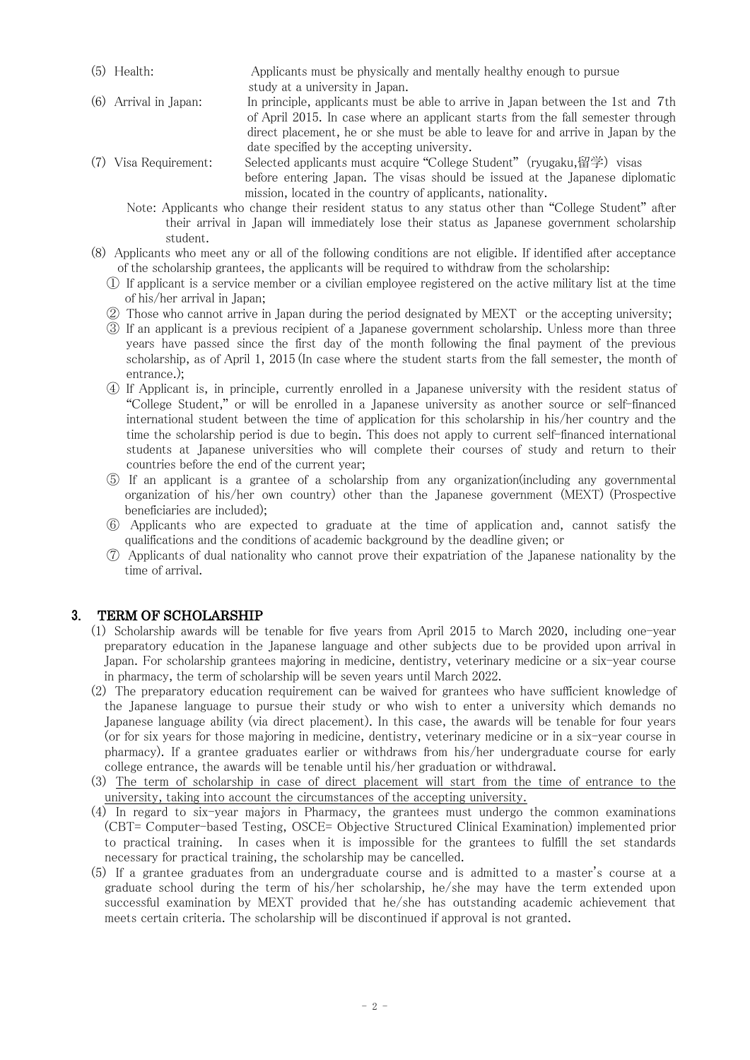- (5) Health: Applicants must be physically and mentally healthy enough to pursue study at a university in Japan.
- (6) Arrival in Japan: In principle, applicants must be able to arrive in Japan between the 1st and 7th of April 2015. In case where an applicant starts from the fall semester through direct placement, he or she must be able to leave for and arrive in Japan by the date specified by the accepting university.
- (7) Visa Requirement: Selected applicants must acquire "College Student" (ryugaku,留学) visas before entering Japan. The visas should be issued at the Japanese diplomatic mission, located in the country of applicants, nationality.
	- Note: Applicants who change their resident status to any status other than "College Student" after their arrival in Japan will immediately lose their status as Japanese government scholarship student.
- (8) Applicants who meet any or all of the following conditions are not eligible. If identified after acceptance of the scholarship grantees, the applicants will be required to withdraw from the scholarship:
	- ① If applicant is a service member or a civilian employee registered on the active military list at the time of his/her arrival in Japan;
	- ② Those who cannot arrive in Japan during the period designated by MEXT or the accepting university;
	- ③ If an applicant is a previous recipient of a Japanese government scholarship. Unless more than three years have passed since the first day of the month following the final payment of the previous scholarship, as of April 1, 2015 (In case where the student starts from the fall semester, the month of entrance.);
	- ④ If Applicant is, in principle, currently enrolled in a Japanese university with the resident status of "College Student," or will be enrolled in a Japanese university as another source or self-financed international student between the time of application for this scholarship in his/her country and the time the scholarship period is due to begin. This does not apply to current self-financed international students at Japanese universities who will complete their courses of study and return to their countries before the end of the current year;
	- ⑤ If an applicant is a grantee of a scholarship from any organization(including any governmental organization of his/her own country) other than the Japanese government (MEXT) (Prospective beneficiaries are included);
	- ⑥ Applicants who are expected to graduate at the time of application and, cannot satisfy the qualifications and the conditions of academic background by the deadline given; or
	- ⑦ Applicants of dual nationality who cannot prove their expatriation of the Japanese nationality by the time of arrival.

# 3. TERM OF SCHOLARSHIP

- (1) Scholarship awards will be tenable for five years from April 2015 to March 2020, including one-year preparatory education in the Japanese language and other subjects due to be provided upon arrival in Japan. For scholarship grantees majoring in medicine, dentistry, veterinary medicine or a six-year course in pharmacy, the term of scholarship will be seven years until March 2022.
- (2) The preparatory education requirement can be waived for grantees who have sufficient knowledge of the Japanese language to pursue their study or who wish to enter a university which demands no Japanese language ability (via direct placement). In this case, the awards will be tenable for four years (or for six years for those majoring in medicine, dentistry, veterinary medicine or in a six-year course in pharmacy). If a grantee graduates earlier or withdraws from his/her undergraduate course for early college entrance, the awards will be tenable until his/her graduation or withdrawal.
- (3) The term of scholarship in case of direct placement will start from the time of entrance to the university, taking into account the circumstances of the accepting university.
- (4) In regard to six-year majors in Pharmacy, the grantees must undergo the common examinations (CBT= Computer-based Testing, OSCE= Objective Structured Clinical Examination) implemented prior to practical training. In cases when it is impossible for the grantees to fulfill the set standards necessary for practical training, the scholarship may be cancelled.
- (5) If a grantee graduates from an undergraduate course and is admitted to a master's course at a graduate school during the term of his/her scholarship, he/she may have the term extended upon successful examination by MEXT provided that he/she has outstanding academic achievement that meets certain criteria. The scholarship will be discontinued if approval is not granted.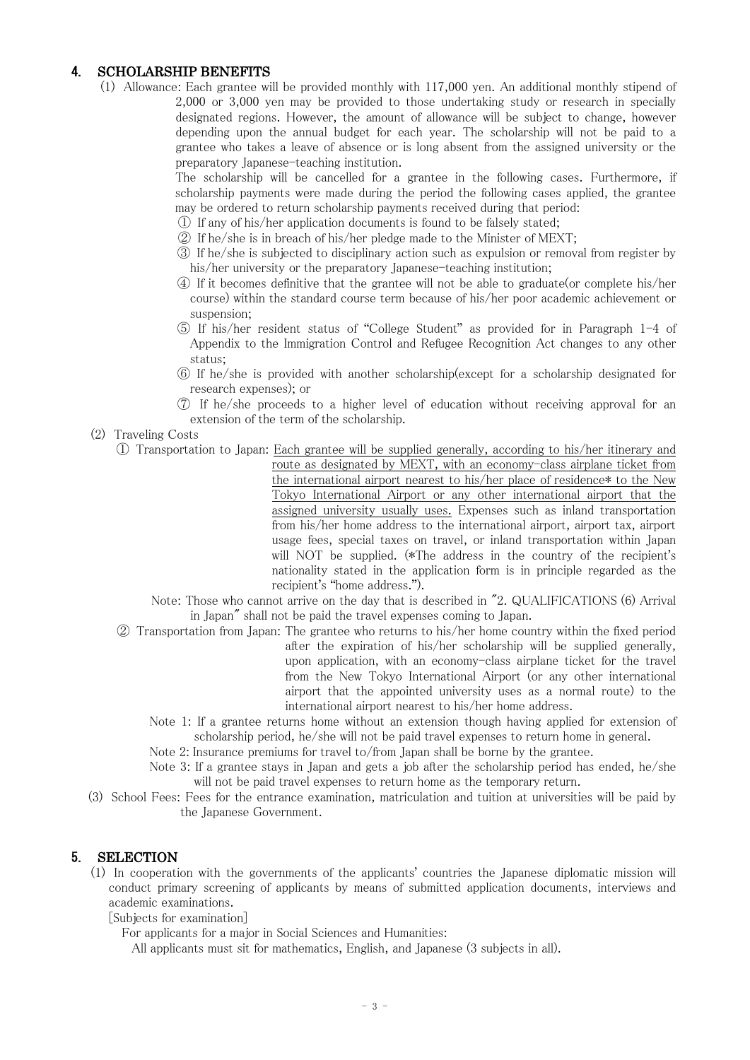# 4. SCHOLARSHIP BENEFITS

(1) Allowance: Each grantee will be provided monthly with 117,000 yen. An additional monthly stipend of 2,000 or 3,000 yen may be provided to those undertaking study or research in specially designated regions. However, the amount of allowance will be subject to change, however depending upon the annual budget for each year. The scholarship will not be paid to a grantee who takes a leave of absence or is long absent from the assigned university or the preparatory Japanese-teaching institution.

> The scholarship will be cancelled for a grantee in the following cases. Furthermore, if scholarship payments were made during the period the following cases applied, the grantee may be ordered to return scholarship payments received during that period:

- ① If any of his/her application documents is found to be falsely stated;
- ② If he/she is in breach of his/her pledge made to the Minister of MEXT;
- ③ If he/she is subjected to disciplinary action such as expulsion or removal from register by his/her university or the preparatory Japanese-teaching institution;
- ④ If it becomes definitive that the grantee will not be able to graduate(or complete his/her course) within the standard course term because of his/her poor academic achievement or suspension;
- ⑤ If his/her resident status of "College Student" as provided for in Paragraph 1-4 of Appendix to the Immigration Control and Refugee Recognition Act changes to any other status;
- ⑥ If he/she is provided with another scholarship(except for a scholarship designated for research expenses); or
- ⑦ If he/she proceeds to a higher level of education without receiving approval for an extension of the term of the scholarship.
- (2) Traveling Costs
	- ① Transportation to Japan: Each grantee will be supplied generally, according to his/her itinerary and
		- route as designated by MEXT, with an economy-class airplane ticket from the international airport nearest to his/her place of residence\* to the New Tokyo International Airport or any other international airport that the assigned university usually uses. Expenses such as inland transportation from his/her home address to the international airport, airport tax, airport usage fees, special taxes on travel, or inland transportation within Japan will NOT be supplied. (\*The address in the country of the recipient's nationality stated in the application form is in principle regarded as the recipient's "home address.").

Note: Those who cannot arrive on the day that is described in "2. QUALIFICATIONS (6) Arrival in Japan" shall not be paid the travel expenses coming to Japan.

- ② Transportation from Japan: The grantee who returns to his/her home country within the fixed period after the expiration of his/her scholarship will be supplied generally, upon application, with an economy-class airplane ticket for the travel from the New Tokyo International Airport (or any other international airport that the appointed university uses as a normal route) to the international airport nearest to his/her home address.
	- Note 1: If a grantee returns home without an extension though having applied for extension of scholarship period, he/she will not be paid travel expenses to return home in general.
	- Note 2: Insurance premiums for travel to/from Japan shall be borne by the grantee.
	- Note 3: If a grantee stays in Japan and gets a job after the scholarship period has ended, he/she will not be paid travel expenses to return home as the temporary return.
- (3) School Fees: Fees for the entrance examination, matriculation and tuition at universities will be paid by the Japanese Government.

### 5. SELECTION

(1) In cooperation with the governments of the applicants' countries the Japanese diplomatic mission will conduct primary screening of applicants by means of submitted application documents, interviews and academic examinations.

[Subjects for examination]

For applicants for a major in Social Sciences and Humanities:

All applicants must sit for mathematics, English, and Japanese (3 subjects in all).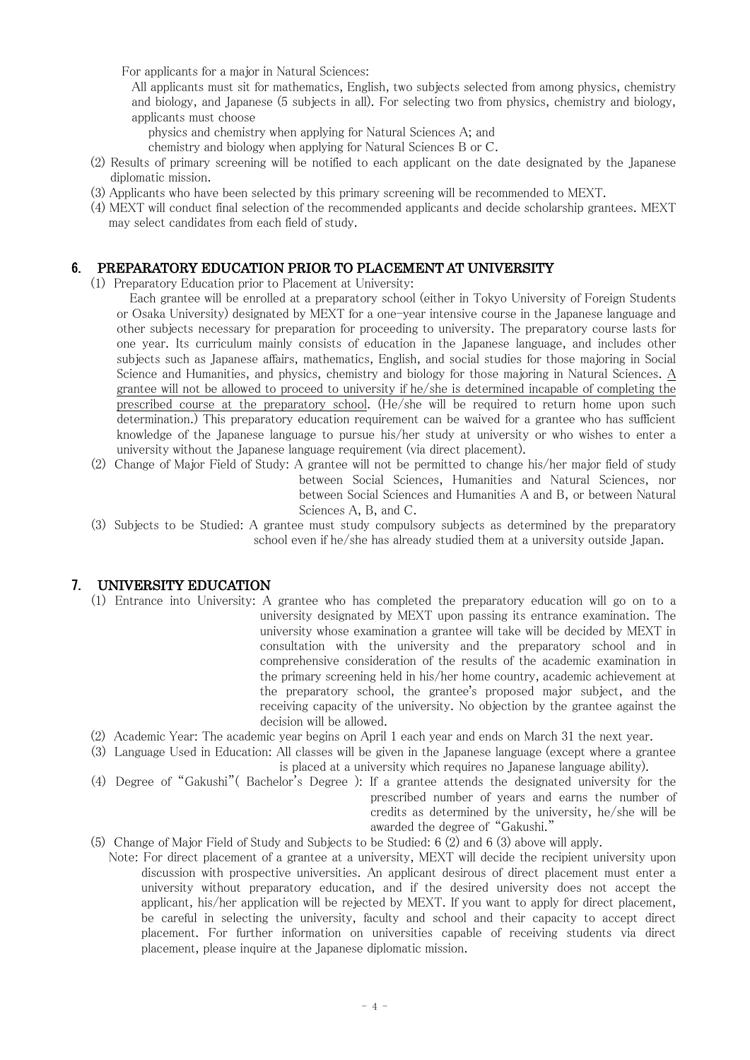For applicants for a major in Natural Sciences:

All applicants must sit for mathematics, English, two subjects selected from among physics, chemistry and biology, and Japanese (5 subjects in all). For selecting two from physics, chemistry and biology, applicants must choose

physics and chemistry when applying for Natural Sciences A; and

chemistry and biology when applying for Natural Sciences B or C.

- (2) Results of primary screening will be notified to each applicant on the date designated by the Japanese diplomatic mission.
- (3) Applicants who have been selected by this primary screening will be recommended to MEXT.
- (4) MEXT will conduct final selection of the recommended applicants and decide scholarship grantees. MEXT may select candidates from each field of study.

## 6. PREPARATORY EDUCATION PRIOR TO PLACEMENT AT UNIVERSITY

(1) Preparatory Education prior to Placement at University:

Each grantee will be enrolled at a preparatory school (either in Tokyo University of Foreign Students or Osaka University) designated by MEXT for a one-year intensive course in the Japanese language and other subjects necessary for preparation for proceeding to university. The preparatory course lasts for one year. Its curriculum mainly consists of education in the Japanese language, and includes other subjects such as Japanese affairs, mathematics, English, and social studies for those majoring in Social Science and Humanities, and physics, chemistry and biology for those majoring in Natural Sciences. A grantee will not be allowed to proceed to university if he/she is determined incapable of completing the prescribed course at the preparatory school. (He/she will be required to return home upon such determination.) This preparatory education requirement can be waived for a grantee who has sufficient knowledge of the Japanese language to pursue his/her study at university or who wishes to enter a university without the Japanese language requirement (via direct placement).

- (2) Change of Major Field of Study: A grantee will not be permitted to change his/her major field of study between Social Sciences, Humanities and Natural Sciences, nor between Social Sciences and Humanities A and B, or between Natural Sciences A, B, and C.
- (3) Subjects to be Studied: A grantee must study compulsory subjects as determined by the preparatory school even if he/she has already studied them at a university outside Japan.

## 7. UNIVERSITY EDUCATION

- (1) Entrance into University: A grantee who has completed the preparatory education will go on to a university designated by MEXT upon passing its entrance examination. The university whose examination a grantee will take will be decided by MEXT in consultation with the university and the preparatory school and in comprehensive consideration of the results of the academic examination in the primary screening held in his/her home country, academic achievement at the preparatory school, the grantee's proposed major subject, and the receiving capacity of the university. No objection by the grantee against the decision will be allowed.
- (2) Academic Year: The academic year begins on April 1 each year and ends on March 31 the next year.
- (3) Language Used in Education: All classes will be given in the Japanese language (except where a grantee is placed at a university which requires no Japanese language ability).
- (4) Degree of "Gakushi"( Bachelor's Degree ): If a grantee attends the designated university for the prescribed number of years and earns the number of credits as determined by the university, he/she will be awarded the degree of "Gakushi."
- (5) Change of Major Field of Study and Subjects to be Studied: 6 (2) and 6 (3) above will apply.
- Note: For direct placement of a grantee at a university, MEXT will decide the recipient university upon discussion with prospective universities. An applicant desirous of direct placement must enter a university without preparatory education, and if the desired university does not accept the applicant, his/her application will be rejected by MEXT. If you want to apply for direct placement, be careful in selecting the university, faculty and school and their capacity to accept direct placement. For further information on universities capable of receiving students via direct placement, please inquire at the Japanese diplomatic mission.